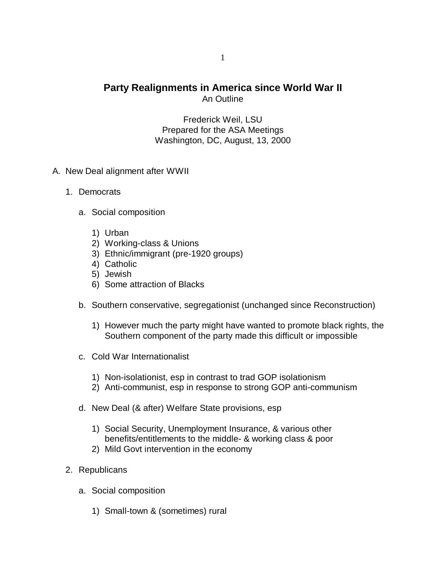## **Party Realignments in America since World War II** An Outline

Frederick Weil, LSU Prepared for the ASA Meetings Washington, DC, August, 13, 2000

- A. New Deal alignment after WWII
	- 1. Democrats
		- a. Social composition
			- 1) Urban
			- 2) Working-class & Unions
			- 3) Ethnic/immigrant (pre-1920 groups)
			- 4) Catholic
			- 5) Jewish
			- 6) Some attraction of Blacks
		- b. Southern conservative, segregationist (unchanged since Reconstruction)
			- 1) However much the party might have wanted to promote black rights, the Southern component of the party made this difficult or impossible
		- c. Cold War Internationalist
			- 1) Non-isolationist, esp in contrast to trad GOP isolationism
			- 2) Anti-communist, esp in response to strong GOP anti-communism
		- d. New Deal (& after) Welfare State provisions, esp
			- 1) Social Security, Unemployment Insurance, & various other benefits/entitlements to the middle- & working class & poor
			- 2) Mild Govt intervention in the economy
	- 2. Republicans
		- a. Social composition
			- 1) Small-town & (sometimes) rural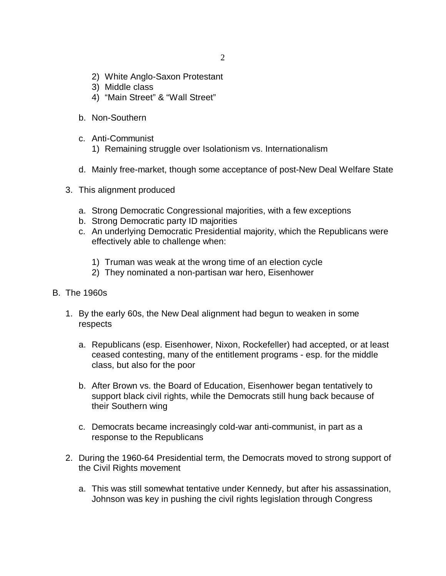- 2) White Anglo-Saxon Protestant
- 3) Middle class
- 4) "Main Street" & "Wall Street"
- b. Non-Southern
- c. Anti-Communist
	- 1) Remaining struggle over Isolationism vs. Internationalism
- d. Mainly free-market, though some acceptance of post-New Deal Welfare State
- 3. This alignment produced
	- a. Strong Democratic Congressional majorities, with a few exceptions
	- b. Strong Democratic party ID majorities
	- c. An underlying Democratic Presidential majority, which the Republicans were effectively able to challenge when:
		- 1) Truman was weak at the wrong time of an election cycle
		- 2) They nominated a non-partisan war hero, Eisenhower
- B. The 1960s
	- 1. By the early 60s, the New Deal alignment had begun to weaken in some respects
		- a. Republicans (esp. Eisenhower, Nixon, Rockefeller) had accepted, or at least ceased contesting, many of the entitlement programs - esp. for the middle class, but also for the poor
		- b. After Brown vs. the Board of Education, Eisenhower began tentatively to support black civil rights, while the Democrats still hung back because of their Southern wing
		- c. Democrats became increasingly cold-war anti-communist, in part as a response to the Republicans
	- 2. During the 1960-64 Presidential term, the Democrats moved to strong support of the Civil Rights movement
		- a. This was still somewhat tentative under Kennedy, but after his assassination, Johnson was key in pushing the civil rights legislation through Congress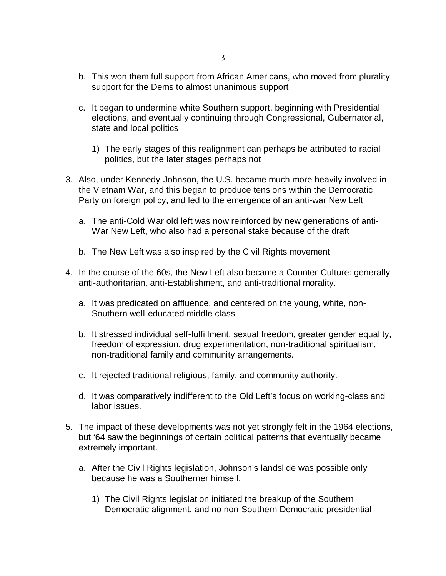- b. This won them full support from African Americans, who moved from plurality support for the Dems to almost unanimous support
- c. It began to undermine white Southern support, beginning with Presidential elections, and eventually continuing through Congressional, Gubernatorial, state and local politics
	- 1) The early stages of this realignment can perhaps be attributed to racial politics, but the later stages perhaps not
- 3. Also, under Kennedy-Johnson, the U.S. became much more heavily involved in the Vietnam War, and this began to produce tensions within the Democratic Party on foreign policy, and led to the emergence of an anti-war New Left
	- a. The anti-Cold War old left was now reinforced by new generations of anti-War New Left, who also had a personal stake because of the draft
	- b. The New Left was also inspired by the Civil Rights movement
- 4. In the course of the 60s, the New Left also became a Counter-Culture: generally anti-authoritarian, anti-Establishment, and anti-traditional morality.
	- a. It was predicated on affluence, and centered on the young, white, non-Southern well-educated middle class
	- b. It stressed individual self-fulfillment, sexual freedom, greater gender equality, freedom of expression, drug experimentation, non-traditional spiritualism, non-traditional family and community arrangements.
	- c. It rejected traditional religious, family, and community authority.
	- d. It was comparatively indifferent to the Old Left's focus on working-class and labor issues.
- 5. The impact of these developments was not yet strongly felt in the 1964 elections, but '64 saw the beginnings of certain political patterns that eventually became extremely important.
	- a. After the Civil Rights legislation, Johnson's landslide was possible only because he was a Southerner himself.
		- 1) The Civil Rights legislation initiated the breakup of the Southern Democratic alignment, and no non-Southern Democratic presidential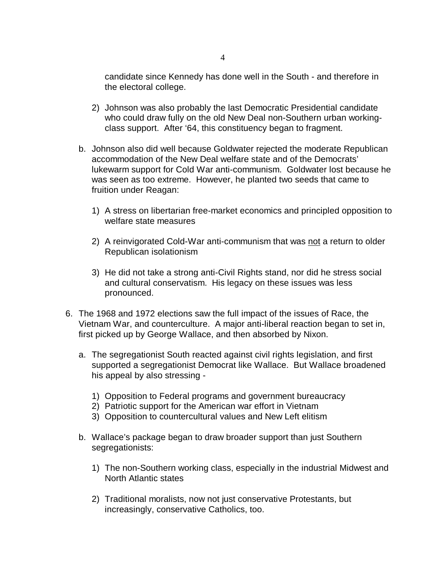candidate since Kennedy has done well in the South - and therefore in the electoral college.

- 2) Johnson was also probably the last Democratic Presidential candidate who could draw fully on the old New Deal non-Southern urban workingclass support. After '64, this constituency began to fragment.
- b. Johnson also did well because Goldwater rejected the moderate Republican accommodation of the New Deal welfare state and of the Democrats' lukewarm support for Cold War anti-communism. Goldwater lost because he was seen as too extreme. However, he planted two seeds that came to fruition under Reagan:
	- 1) A stress on libertarian free-market economics and principled opposition to welfare state measures
	- 2) A reinvigorated Cold-War anti-communism that was not a return to older Republican isolationism
	- 3) He did not take a strong anti-Civil Rights stand, nor did he stress social and cultural conservatism. His legacy on these issues was less pronounced.
- 6. The 1968 and 1972 elections saw the full impact of the issues of Race, the Vietnam War, and counterculture. A major anti-liberal reaction began to set in, first picked up by George Wallace, and then absorbed by Nixon.
	- a. The segregationist South reacted against civil rights legislation, and first supported a segregationist Democrat like Wallace. But Wallace broadened his appeal by also stressing -
		- 1) Opposition to Federal programs and government bureaucracy
		- 2) Patriotic support for the American war effort in Vietnam
		- 3) Opposition to countercultural values and New Left elitism
	- b. Wallace's package began to draw broader support than just Southern segregationists:
		- 1) The non-Southern working class, especially in the industrial Midwest and North Atlantic states
		- 2) Traditional moralists, now not just conservative Protestants, but increasingly, conservative Catholics, too.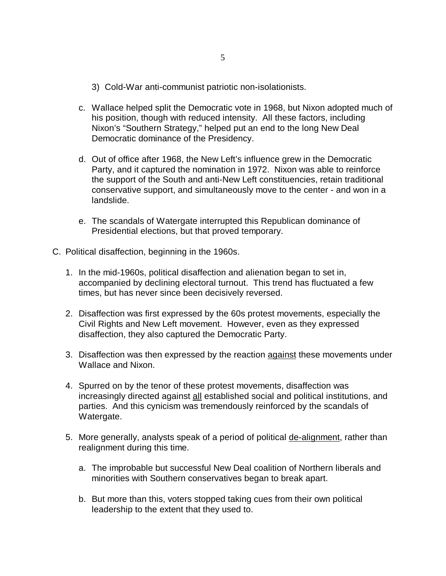- 3) Cold-War anti-communist patriotic non-isolationists.
- c. Wallace helped split the Democratic vote in 1968, but Nixon adopted much of his position, though with reduced intensity. All these factors, including Nixon's "Southern Strategy," helped put an end to the long New Deal Democratic dominance of the Presidency.
- d. Out of office after 1968, the New Left's influence grew in the Democratic Party, and it captured the nomination in 1972. Nixon was able to reinforce the support of the South and anti-New Left constituencies, retain traditional conservative support, and simultaneously move to the center - and won in a landslide.
- e. The scandals of Watergate interrupted this Republican dominance of Presidential elections, but that proved temporary.
- C. Political disaffection, beginning in the 1960s.
	- 1. In the mid-1960s, political disaffection and alienation began to set in, accompanied by declining electoral turnout. This trend has fluctuated a few times, but has never since been decisively reversed.
	- 2. Disaffection was first expressed by the 60s protest movements, especially the Civil Rights and New Left movement. However, even as they expressed disaffection, they also captured the Democratic Party.
	- 3. Disaffection was then expressed by the reaction against these movements under Wallace and Nixon.
	- 4. Spurred on by the tenor of these protest movements, disaffection was increasingly directed against all established social and political institutions, and parties. And this cynicism was tremendously reinforced by the scandals of Watergate.
	- 5. More generally, analysts speak of a period of political de-alignment, rather than realignment during this time.
		- a. The improbable but successful New Deal coalition of Northern liberals and minorities with Southern conservatives began to break apart.
		- b. But more than this, voters stopped taking cues from their own political leadership to the extent that they used to.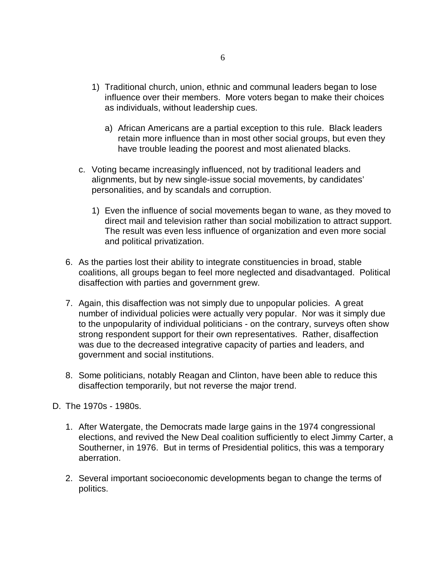- 1) Traditional church, union, ethnic and communal leaders began to lose influence over their members. More voters began to make their choices as individuals, without leadership cues.
	- a) African Americans are a partial exception to this rule. Black leaders retain more influence than in most other social groups, but even they have trouble leading the poorest and most alienated blacks.
- c. Voting became increasingly influenced, not by traditional leaders and alignments, but by new single-issue social movements, by candidates' personalities, and by scandals and corruption.
	- 1) Even the influence of social movements began to wane, as they moved to direct mail and television rather than social mobilization to attract support. The result was even less influence of organization and even more social and political privatization.
- 6. As the parties lost their ability to integrate constituencies in broad, stable coalitions, all groups began to feel more neglected and disadvantaged. Political disaffection with parties and government grew.
- 7. Again, this disaffection was not simply due to unpopular policies. A great number of individual policies were actually very popular. Nor was it simply due to the unpopularity of individual politicians - on the contrary, surveys often show strong respondent support for their own representatives. Rather, disaffection was due to the decreased integrative capacity of parties and leaders, and government and social institutions.
- 8. Some politicians, notably Reagan and Clinton, have been able to reduce this disaffection temporarily, but not reverse the major trend.
- D. The 1970s 1980s.
	- 1. After Watergate, the Democrats made large gains in the 1974 congressional elections, and revived the New Deal coalition sufficiently to elect Jimmy Carter, a Southerner, in 1976. But in terms of Presidential politics, this was a temporary aberration.
	- 2. Several important socioeconomic developments began to change the terms of politics.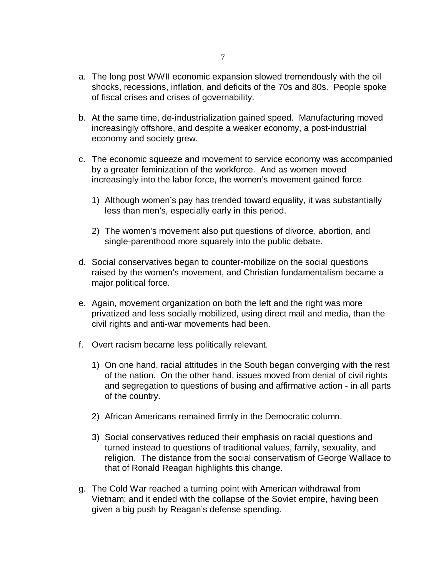- a. The long post WWII economic expansion slowed tremendously with the oil shocks, recessions, inflation, and deficits of the 70s and 80s. People spoke of fiscal crises and crises of governability.
- b. At the same time, de-industrialization gained speed. Manufacturing moved increasingly offshore, and despite a weaker economy, a post-industrial economy and society grew.
- c. The economic squeeze and movement to service economy was accompanied by a greater feminization of the workforce. And as women moved increasingly into the labor force, the women's movement gained force.
	- 1) Although women's pay has trended toward equality, it was substantially less than men's, especially early in this period.
	- 2) The women's movement also put questions of divorce, abortion, and single-parenthood more squarely into the public debate.
- d. Social conservatives began to counter-mobilize on the social questions raised by the women's movement, and Christian fundamentalism became a major political force.
- e. Again, movement organization on both the left and the right was more privatized and less socially mobilized, using direct mail and media, than the civil rights and anti-war movements had been.
- f. Overt racism became less politically relevant.
	- 1) On one hand, racial attitudes in the South began converging with the rest of the nation. On the other hand, issues moved from denial of civil rights and segregation to questions of busing and affirmative action - in all parts of the country.
	- 2) African Americans remained firmly in the Democratic column.
	- 3) Social conservatives reduced their emphasis on racial questions and turned instead to questions of traditional values, family, sexuality, and religion. The distance from the social conservatism of George Wallace to that of Ronald Reagan highlights this change.
- g. The Cold War reached a turning point with American withdrawal from Vietnam; and it ended with the collapse of the Soviet empire, having been given a big push by Reagan's defense spending.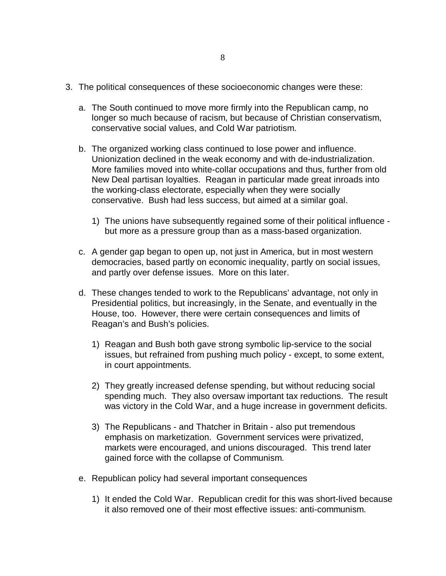- 3. The political consequences of these socioeconomic changes were these:
	- a. The South continued to move more firmly into the Republican camp, no longer so much because of racism, but because of Christian conservatism, conservative social values, and Cold War patriotism.
	- b. The organized working class continued to lose power and influence. Unionization declined in the weak economy and with de-industrialization. More families moved into white-collar occupations and thus, further from old New Deal partisan loyalties. Reagan in particular made great inroads into the working-class electorate, especially when they were socially conservative. Bush had less success, but aimed at a similar goal.
		- 1) The unions have subsequently regained some of their political influence but more as a pressure group than as a mass-based organization.
	- c. A gender gap began to open up, not just in America, but in most western democracies, based partly on economic inequality, partly on social issues, and partly over defense issues. More on this later.
	- d. These changes tended to work to the Republicans' advantage, not only in Presidential politics, but increasingly, in the Senate, and eventually in the House, too. However, there were certain consequences and limits of Reagan's and Bush's policies.
		- 1) Reagan and Bush both gave strong symbolic lip-service to the social issues, but refrained from pushing much policy - except, to some extent, in court appointments.
		- 2) They greatly increased defense spending, but without reducing social spending much. They also oversaw important tax reductions. The result was victory in the Cold War, and a huge increase in government deficits.
		- 3) The Republicans and Thatcher in Britain also put tremendous emphasis on marketization. Government services were privatized, markets were encouraged, and unions discouraged. This trend later gained force with the collapse of Communism.
	- e. Republican policy had several important consequences
		- 1) It ended the Cold War. Republican credit for this was short-lived because it also removed one of their most effective issues: anti-communism.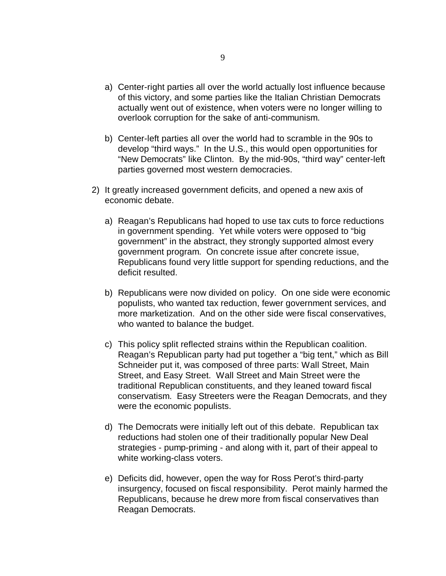- a) Center-right parties all over the world actually lost influence because of this victory, and some parties like the Italian Christian Democrats actually went out of existence, when voters were no longer willing to overlook corruption for the sake of anti-communism.
- b) Center-left parties all over the world had to scramble in the 90s to develop "third ways." In the U.S., this would open opportunities for "New Democrats" like Clinton. By the mid-90s, "third way" center-left parties governed most western democracies.
- 2) It greatly increased government deficits, and opened a new axis of economic debate.
	- a) Reagan's Republicans had hoped to use tax cuts to force reductions in government spending. Yet while voters were opposed to "big government" in the abstract, they strongly supported almost every government program. On concrete issue after concrete issue, Republicans found very little support for spending reductions, and the deficit resulted.
	- b) Republicans were now divided on policy. On one side were economic populists, who wanted tax reduction, fewer government services, and more marketization. And on the other side were fiscal conservatives, who wanted to balance the budget.
	- c) This policy split reflected strains within the Republican coalition. Reagan's Republican party had put together a "big tent," which as Bill Schneider put it, was composed of three parts: Wall Street, Main Street, and Easy Street. Wall Street and Main Street were the traditional Republican constituents, and they leaned toward fiscal conservatism. Easy Streeters were the Reagan Democrats, and they were the economic populists.
	- d) The Democrats were initially left out of this debate. Republican tax reductions had stolen one of their traditionally popular New Deal strategies - pump-priming - and along with it, part of their appeal to white working-class voters.
	- e) Deficits did, however, open the way for Ross Perot's third-party insurgency, focused on fiscal responsibility. Perot mainly harmed the Republicans, because he drew more from fiscal conservatives than Reagan Democrats.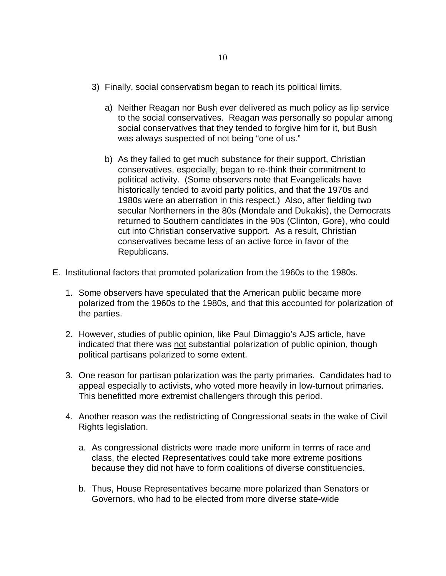- 3) Finally, social conservatism began to reach its political limits.
	- a) Neither Reagan nor Bush ever delivered as much policy as lip service to the social conservatives. Reagan was personally so popular among social conservatives that they tended to forgive him for it, but Bush was always suspected of not being "one of us."
	- b) As they failed to get much substance for their support, Christian conservatives, especially, began to re-think their commitment to political activity. (Some observers note that Evangelicals have historically tended to avoid party politics, and that the 1970s and 1980s were an aberration in this respect.) Also, after fielding two secular Northerners in the 80s (Mondale and Dukakis), the Democrats returned to Southern candidates in the 90s (Clinton, Gore), who could cut into Christian conservative support. As a result, Christian conservatives became less of an active force in favor of the Republicans.
- E. Institutional factors that promoted polarization from the 1960s to the 1980s.
	- 1. Some observers have speculated that the American public became more polarized from the 1960s to the 1980s, and that this accounted for polarization of the parties.
	- 2. However, studies of public opinion, like Paul Dimaggio's AJS article, have indicated that there was not substantial polarization of public opinion, though political partisans polarized to some extent.
	- 3. One reason for partisan polarization was the party primaries. Candidates had to appeal especially to activists, who voted more heavily in low-turnout primaries. This benefitted more extremist challengers through this period.
	- 4. Another reason was the redistricting of Congressional seats in the wake of Civil Rights legislation.
		- a. As congressional districts were made more uniform in terms of race and class, the elected Representatives could take more extreme positions because they did not have to form coalitions of diverse constituencies.
		- b. Thus, House Representatives became more polarized than Senators or Governors, who had to be elected from more diverse state-wide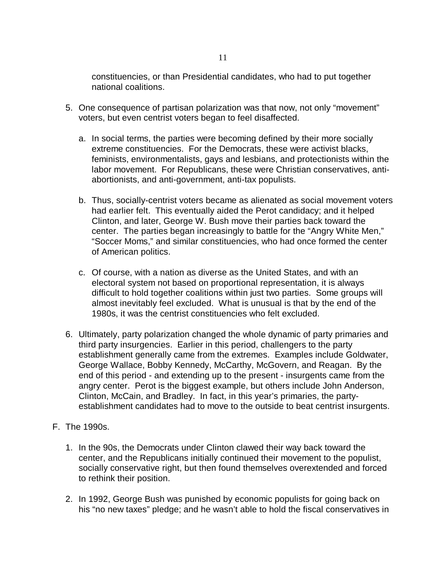constituencies, or than Presidential candidates, who had to put together national coalitions.

- 5. One consequence of partisan polarization was that now, not only "movement" voters, but even centrist voters began to feel disaffected.
	- a. In social terms, the parties were becoming defined by their more socially extreme constituencies. For the Democrats, these were activist blacks, feminists, environmentalists, gays and lesbians, and protectionists within the labor movement. For Republicans, these were Christian conservatives, antiabortionists, and anti-government, anti-tax populists.
	- b. Thus, socially-centrist voters became as alienated as social movement voters had earlier felt. This eventually aided the Perot candidacy; and it helped Clinton, and later, George W. Bush move their parties back toward the center. The parties began increasingly to battle for the "Angry White Men," "Soccer Moms," and similar constituencies, who had once formed the center of American politics.
	- c. Of course, with a nation as diverse as the United States, and with an electoral system not based on proportional representation, it is always difficult to hold together coalitions within just two parties. Some groups will almost inevitably feel excluded. What is unusual is that by the end of the 1980s, it was the centrist constituencies who felt excluded.
- 6. Ultimately, party polarization changed the whole dynamic of party primaries and third party insurgencies. Earlier in this period, challengers to the party establishment generally came from the extremes. Examples include Goldwater, George Wallace, Bobby Kennedy, McCarthy, McGovern, and Reagan. By the end of this period - and extending up to the present - insurgents came from the angry center. Perot is the biggest example, but others include John Anderson, Clinton, McCain, and Bradley. In fact, in this year's primaries, the partyestablishment candidates had to move to the outside to beat centrist insurgents.
- F. The 1990s.
	- 1. In the 90s, the Democrats under Clinton clawed their way back toward the center, and the Republicans initially continued their movement to the populist, socially conservative right, but then found themselves overextended and forced to rethink their position.
	- 2. In 1992, George Bush was punished by economic populists for going back on his "no new taxes" pledge; and he wasn't able to hold the fiscal conservatives in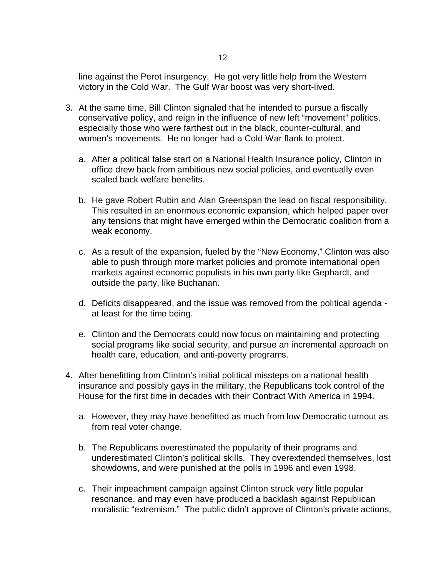line against the Perot insurgency. He got very little help from the Western victory in the Cold War. The Gulf War boost was very short-lived.

- 3. At the same time, Bill Clinton signaled that he intended to pursue a fiscally conservative policy, and reign in the influence of new left "movement" politics, especially those who were farthest out in the black, counter-cultural, and women's movements. He no longer had a Cold War flank to protect.
	- a. After a political false start on a National Health Insurance policy, Clinton in office drew back from ambitious new social policies, and eventually even scaled back welfare benefits.
	- b. He gave Robert Rubin and Alan Greenspan the lead on fiscal responsibility. This resulted in an enormous economic expansion, which helped paper over any tensions that might have emerged within the Democratic coalition from a weak economy.
	- c. As a result of the expansion, fueled by the "New Economy," Clinton was also able to push through more market policies and promote international open markets against economic populists in his own party like Gephardt, and outside the party, like Buchanan.
	- d. Deficits disappeared, and the issue was removed from the political agenda at least for the time being.
	- e. Clinton and the Democrats could now focus on maintaining and protecting social programs like social security, and pursue an incremental approach on health care, education, and anti-poverty programs.
- 4. After benefitting from Clinton's initial political missteps on a national health insurance and possibly gays in the military, the Republicans took control of the House for the first time in decades with their Contract With America in 1994.
	- a. However, they may have benefitted as much from low Democratic turnout as from real voter change.
	- b. The Republicans overestimated the popularity of their programs and underestimated Clinton's political skills. They overextended themselves, lost showdowns, and were punished at the polls in 1996 and even 1998.
	- c. Their impeachment campaign against Clinton struck very little popular resonance, and may even have produced a backlash against Republican moralistic "extremism." The public didn't approve of Clinton's private actions,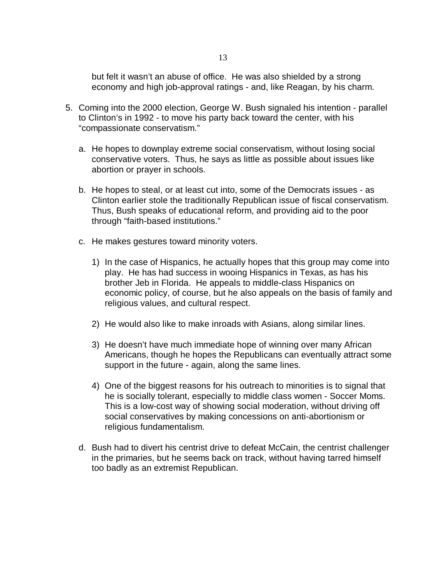but felt it wasn't an abuse of office. He was also shielded by a strong economy and high job-approval ratings - and, like Reagan, by his charm.

- 5. Coming into the 2000 election, George W. Bush signaled his intention parallel to Clinton's in 1992 - to move his party back toward the center, with his "compassionate conservatism."
	- a. He hopes to downplay extreme social conservatism, without losing social conservative voters. Thus, he says as little as possible about issues like abortion or prayer in schools.
	- b. He hopes to steal, or at least cut into, some of the Democrats issues as Clinton earlier stole the traditionally Republican issue of fiscal conservatism. Thus, Bush speaks of educational reform, and providing aid to the poor through "faith-based institutions."
	- c. He makes gestures toward minority voters.
		- 1) In the case of Hispanics, he actually hopes that this group may come into play. He has had success in wooing Hispanics in Texas, as has his brother Jeb in Florida. He appeals to middle-class Hispanics on economic policy, of course, but he also appeals on the basis of family and religious values, and cultural respect.
		- 2) He would also like to make inroads with Asians, along similar lines.
		- 3) He doesn't have much immediate hope of winning over many African Americans, though he hopes the Republicans can eventually attract some support in the future - again, along the same lines.
		- 4) One of the biggest reasons for his outreach to minorities is to signal that he is socially tolerant, especially to middle class women - Soccer Moms. This is a low-cost way of showing social moderation, without driving off social conservatives by making concessions on anti-abortionism or religious fundamentalism.
	- d. Bush had to divert his centrist drive to defeat McCain, the centrist challenger in the primaries, but he seems back on track, without having tarred himself too badly as an extremist Republican.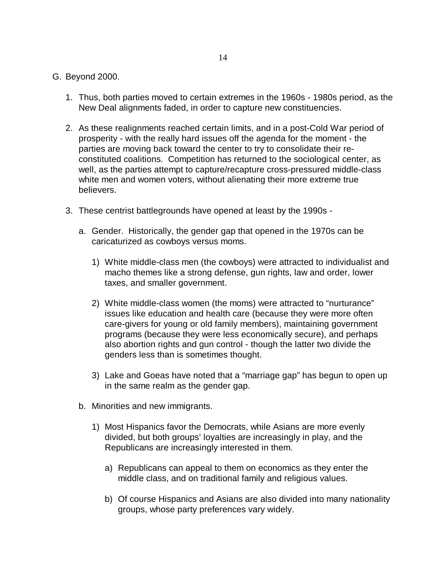## G. Beyond 2000.

- 1. Thus, both parties moved to certain extremes in the 1960s 1980s period, as the New Deal alignments faded, in order to capture new constituencies.
- 2. As these realignments reached certain limits, and in a post-Cold War period of prosperity - with the really hard issues off the agenda for the moment - the parties are moving back toward the center to try to consolidate their reconstituted coalitions. Competition has returned to the sociological center, as well, as the parties attempt to capture/recapture cross-pressured middle-class white men and women voters, without alienating their more extreme true believers.
- 3. These centrist battlegrounds have opened at least by the 1990s
	- a. Gender. Historically, the gender gap that opened in the 1970s can be caricaturized as cowboys versus moms.
		- 1) White middle-class men (the cowboys) were attracted to individualist and macho themes like a strong defense, gun rights, law and order, lower taxes, and smaller government.
		- 2) White middle-class women (the moms) were attracted to "nurturance" issues like education and health care (because they were more often care-givers for young or old family members), maintaining government programs (because they were less economically secure), and perhaps also abortion rights and gun control - though the latter two divide the genders less than is sometimes thought.
		- 3) Lake and Goeas have noted that a "marriage gap" has begun to open up in the same realm as the gender gap.
	- b. Minorities and new immigrants.
		- 1) Most Hispanics favor the Democrats, while Asians are more evenly divided, but both groups' loyalties are increasingly in play, and the Republicans are increasingly interested in them.
			- a) Republicans can appeal to them on economics as they enter the middle class, and on traditional family and religious values.
			- b) Of course Hispanics and Asians are also divided into many nationality groups, whose party preferences vary widely.